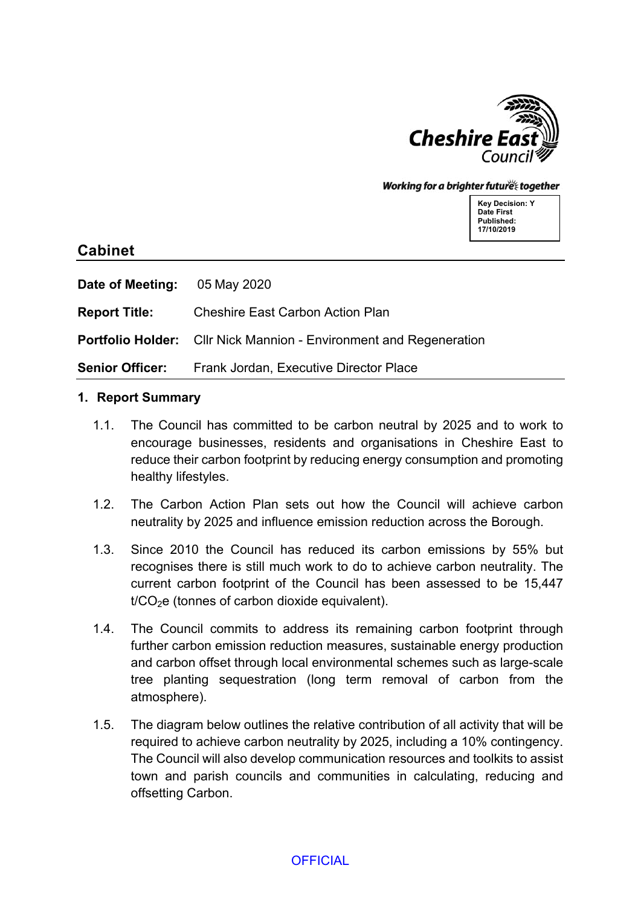

#### Working for a brighter future together

**Key Decision: Y Date First Published: 17/10/2019**

# **Cabinet**

**Date of Meeting:** 05 May 2020

**Report Title:** Cheshire East Carbon Action Plan

**Portfolio Holder:** Cllr Nick Mannion - Environment and Regeneration

**Senior Officer:** Frank Jordan, Executive Director Place

#### **1. Report Summary**

- 1.1. The Council has committed to be carbon neutral by 2025 and to work to encourage businesses, residents and organisations in Cheshire East to reduce their carbon footprint by reducing energy consumption and promoting healthy lifestyles.
- 1.2. The Carbon Action Plan sets out how the Council will achieve carbon neutrality by 2025 and influence emission reduction across the Borough.
- 1.3. Since 2010 the Council has reduced its carbon emissions by 55% but recognises there is still much work to do to achieve carbon neutrality. The current carbon footprint of the Council has been assessed to be 15,447  $t/CO<sub>2</sub>e$  (tonnes of carbon dioxide equivalent).
- 1.4. The Council commits to address its remaining carbon footprint through further carbon emission reduction measures, sustainable energy production and carbon offset through local environmental schemes such as large-scale tree planting sequestration (long term removal of carbon from the atmosphere).
- 1.5. The diagram below outlines the relative contribution of all activity that will be required to achieve carbon neutrality by 2025, including a 10% contingency. The Council will also develop communication resources and toolkits to assist town and parish councils and communities in calculating, reducing and offsetting Carbon.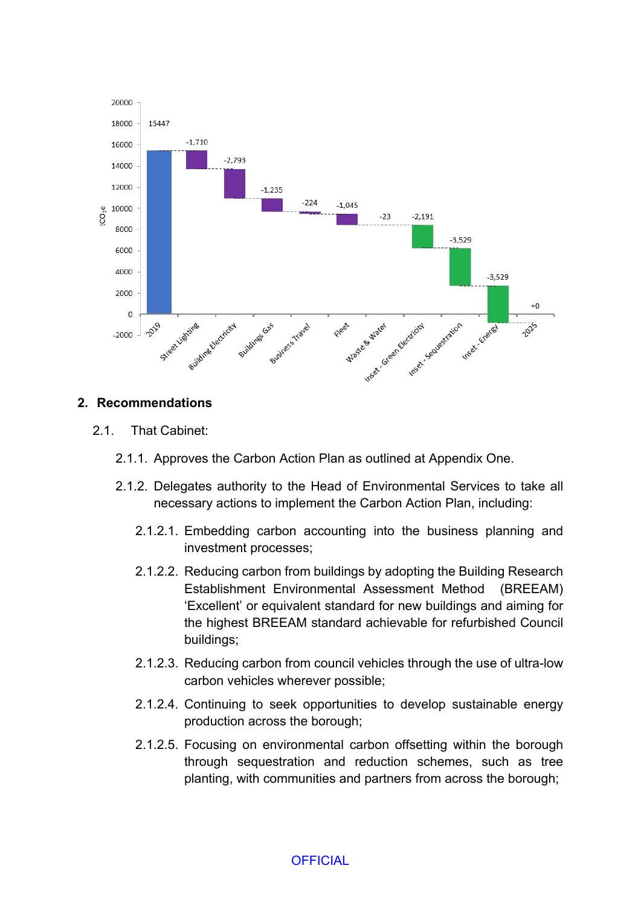

#### **2. Recommendations**

- 2.1. That Cabinet:
	- 2.1.1. Approves the Carbon Action Plan as outlined at Appendix One.
	- 2.1.2. Delegates authority to the Head of Environmental Services to take all necessary actions to implement the Carbon Action Plan, including:
		- 2.1.2.1. Embedding carbon accounting into the business planning and investment processes;
		- 2.1.2.2. Reducing carbon from buildings by adopting the Building Research Establishment Environmental Assessment Method (BREEAM) 'Excellent' or equivalent standard for new buildings and aiming for the highest BREEAM standard achievable for refurbished Council buildings;
		- 2.1.2.3. Reducing carbon from council vehicles through the use of ultra-low carbon vehicles wherever possible;
		- 2.1.2.4. Continuing to seek opportunities to develop sustainable energy production across the borough;
		- 2.1.2.5. Focusing on environmental carbon offsetting within the borough through sequestration and reduction schemes, such as tree planting, with communities and partners from across the borough;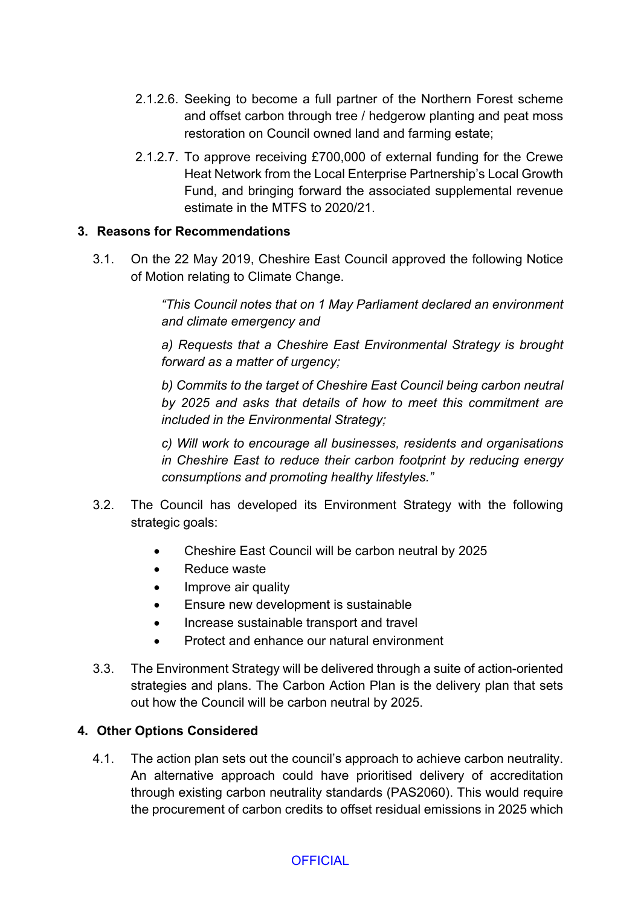- 2.1.2.6. Seeking to become a full partner of the Northern Forest scheme and offset carbon through tree / hedgerow planting and peat moss restoration on Council owned land and farming estate;
- 2.1.2.7. To approve receiving £700,000 of external funding for the Crewe Heat Network from the Local Enterprise Partnership's Local Growth Fund, and bringing forward the associated supplemental revenue estimate in the MTFS to 2020/21.

## **3. Reasons for Recommendations**

3.1. On the 22 May 2019, Cheshire East Council approved the following Notice of Motion relating to Climate Change.

> *"This Council notes that on 1 May Parliament declared an environment and climate emergency and*

> *a) Requests that a Cheshire East Environmental Strategy is brought forward as a matter of urgency;*

> *b) Commits to the target of Cheshire East Council being carbon neutral by 2025 and asks that details of how to meet this commitment are included in the Environmental Strategy;*

> *c) Will work to encourage all businesses, residents and organisations in Cheshire East to reduce their carbon footprint by reducing energy consumptions and promoting healthy lifestyles."*

- 3.2. The Council has developed its Environment Strategy with the following strategic goals:
	- Cheshire East Council will be carbon neutral by 2025
	- Reduce waste
	- Improve air quality
	- Ensure new development is sustainable
	- Increase sustainable transport and travel
	- Protect and enhance our natural environment
- 3.3. The Environment Strategy will be delivered through a suite of action-oriented strategies and plans. The Carbon Action Plan is the delivery plan that sets out how the Council will be carbon neutral by 2025.

## **4. Other Options Considered**

4.1. The action plan sets out the council's approach to achieve carbon neutrality. An alternative approach could have prioritised delivery of accreditation through existing carbon neutrality standards (PAS2060). This would require the procurement of carbon credits to offset residual emissions in 2025 which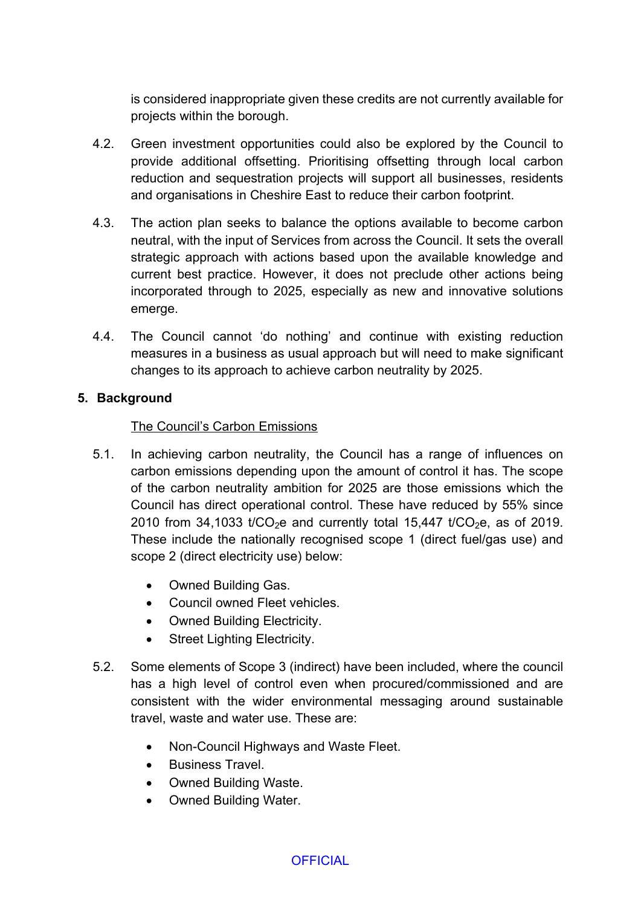is considered inappropriate given these credits are not currently available for projects within the borough.

- 4.2. Green investment opportunities could also be explored by the Council to provide additional offsetting. Prioritising offsetting through local carbon reduction and sequestration projects will support all businesses, residents and organisations in Cheshire East to reduce their carbon footprint.
- 4.3. The action plan seeks to balance the options available to become carbon neutral, with the input of Services from across the Council. It sets the overall strategic approach with actions based upon the available knowledge and current best practice. However, it does not preclude other actions being incorporated through to 2025, especially as new and innovative solutions emerge.
- 4.4. The Council cannot 'do nothing' and continue with existing reduction measures in a business as usual approach but will need to make significant changes to its approach to achieve carbon neutrality by 2025.

#### **5. Background**

#### The Council's Carbon Emissions

- 5.1. In achieving carbon neutrality, the Council has a range of influences on carbon emissions depending upon the amount of control it has. The scope of the carbon neutrality ambition for 2025 are those emissions which the Council has direct operational control. These have reduced by 55% since 2010 from 34,1033  $t$ CO<sub>2</sub>e and currently total 15,447  $t$ CO<sub>2</sub>e, as of 2019. These include the nationally recognised scope 1 (direct fuel/gas use) and scope 2 (direct electricity use) below:
	- Owned Building Gas.
	- Council owned Fleet vehicles.
	- Owned Building Electricity.
	- Street Lighting Electricity.
- 5.2. Some elements of Scope 3 (indirect) have been included, where the council has a high level of control even when procured/commissioned and are consistent with the wider environmental messaging around sustainable travel, waste and water use. These are:
	- Non-Council Highways and Waste Fleet.
	- **•** Business Travel
	- Owned Building Waste.
	- Owned Building Water.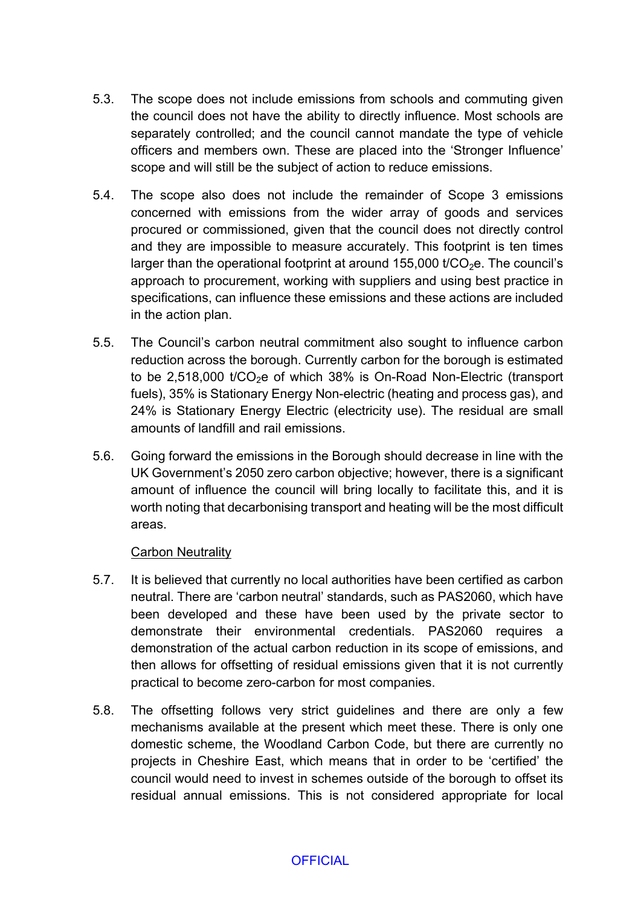- 5.3. The scope does not include emissions from schools and commuting given the council does not have the ability to directly influence. Most schools are separately controlled; and the council cannot mandate the type of vehicle officers and members own. These are placed into the 'Stronger Influence' scope and will still be the subject of action to reduce emissions.
- 5.4. The scope also does not include the remainder of Scope 3 emissions concerned with emissions from the wider array of goods and services procured or commissioned, given that the council does not directly control and they are impossible to measure accurately. This footprint is ten times larger than the operational footprint at around  $155,000$  t/CO<sub>2</sub>e. The council's approach to procurement, working with suppliers and using best practice in specifications, can influence these emissions and these actions are included in the action plan.
- 5.5. The Council's carbon neutral commitment also sought to influence carbon reduction across the borough. Currently carbon for the borough is estimated to be 2,518,000  $t$ /CO<sub>2</sub>e of which 38% is On-Road Non-Electric (transport fuels), 35% is Stationary Energy Non-electric (heating and process gas), and 24% is Stationary Energy Electric (electricity use). The residual are small amounts of landfill and rail emissions.
- 5.6. Going forward the emissions in the Borough should decrease in line with the UK Government's 2050 zero carbon objective; however, there is a significant amount of influence the council will bring locally to facilitate this, and it is worth noting that decarbonising transport and heating will be the most difficult areas.

#### **Carbon Neutrality**

- 5.7. It is believed that currently no local authorities have been certified as carbon neutral. There are 'carbon neutral' standards, such as PAS2060, which have been developed and these have been used by the private sector to demonstrate their environmental credentials. PAS2060 requires a demonstration of the actual carbon reduction in its scope of emissions, and then allows for offsetting of residual emissions given that it is not currently practical to become zero-carbon for most companies.
- 5.8. The offsetting follows very strict guidelines and there are only a few mechanisms available at the present which meet these. There is only one domestic scheme, the Woodland Carbon Code, but there are currently no projects in Cheshire East, which means that in order to be 'certified' the council would need to invest in schemes outside of the borough to offset its residual annual emissions. This is not considered appropriate for local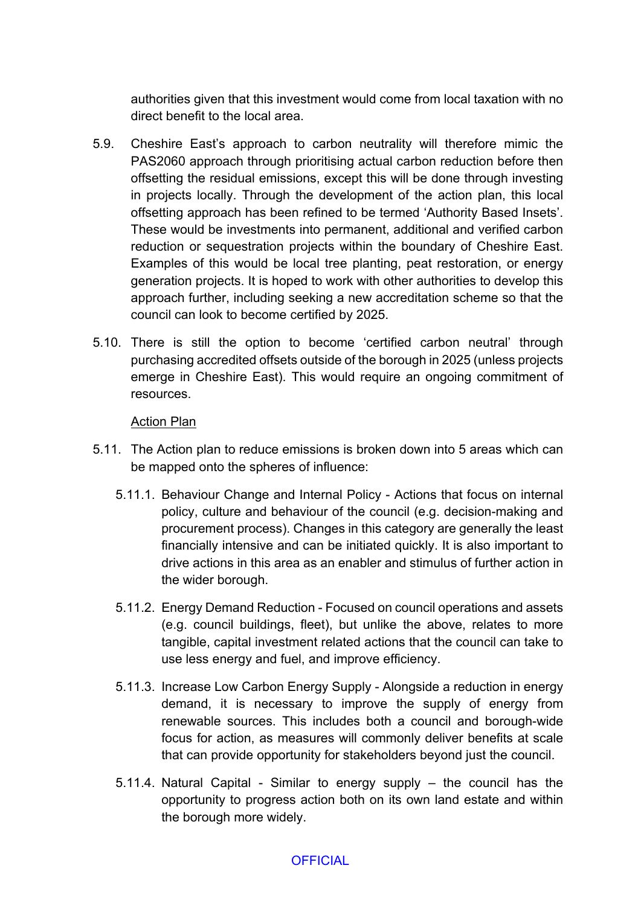authorities given that this investment would come from local taxation with no direct benefit to the local area.

- 5.9. Cheshire East's approach to carbon neutrality will therefore mimic the PAS2060 approach through prioritising actual carbon reduction before then offsetting the residual emissions, except this will be done through investing in projects locally. Through the development of the action plan, this local offsetting approach has been refined to be termed 'Authority Based Insets'. These would be investments into permanent, additional and verified carbon reduction or sequestration projects within the boundary of Cheshire East. Examples of this would be local tree planting, peat restoration, or energy generation projects. It is hoped to work with other authorities to develop this approach further, including seeking a new accreditation scheme so that the council can look to become certified by 2025.
- 5.10. There is still the option to become 'certified carbon neutral' through purchasing accredited offsets outside of the borough in 2025 (unless projects emerge in Cheshire East). This would require an ongoing commitment of resources.

#### Action Plan

- 5.11. The Action plan to reduce emissions is broken down into 5 areas which can be mapped onto the spheres of influence:
	- 5.11.1. Behaviour Change and Internal Policy Actions that focus on internal policy, culture and behaviour of the council (e.g. decision-making and procurement process). Changes in this category are generally the least financially intensive and can be initiated quickly. It is also important to drive actions in this area as an enabler and stimulus of further action in the wider borough.
	- 5.11.2. Energy Demand Reduction Focused on council operations and assets (e.g. council buildings, fleet), but unlike the above, relates to more tangible, capital investment related actions that the council can take to use less energy and fuel, and improve efficiency.
	- 5.11.3. Increase Low Carbon Energy Supply Alongside a reduction in energy demand, it is necessary to improve the supply of energy from renewable sources. This includes both a council and borough-wide focus for action, as measures will commonly deliver benefits at scale that can provide opportunity for stakeholders beyond just the council.
	- 5.11.4. Natural Capital Similar to energy supply the council has the opportunity to progress action both on its own land estate and within the borough more widely.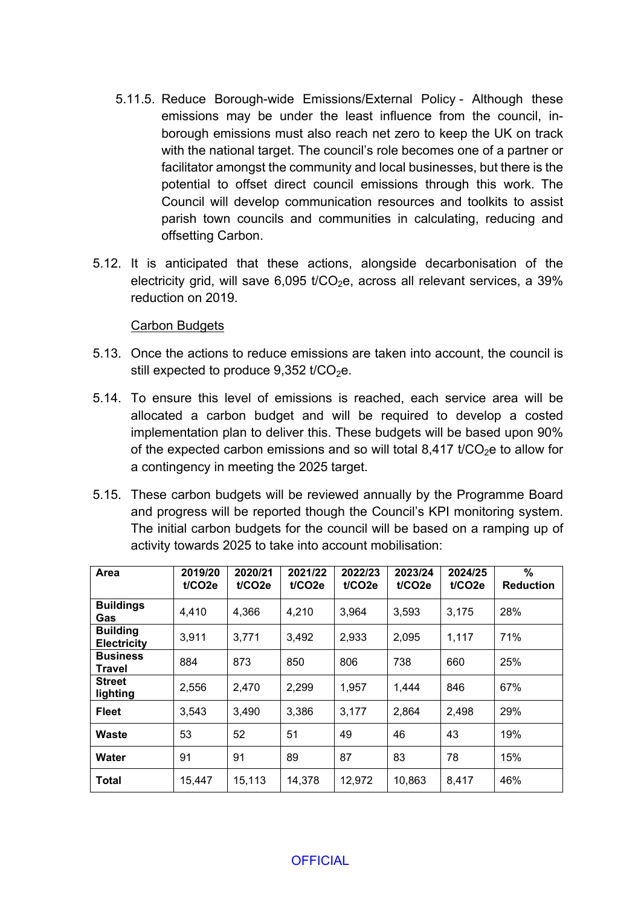- 5.11.5. Reduce Borough-wide Emissions/External Policy Although these emissions may be under the least influence from the council, inborough emissions must also reach net zero to keep the UK on track with the national target. The council's role becomes one of a partner or facilitator amongst the community and local businesses, but there is the potential to offset direct council emissions through this work. The Council will develop communication resources and toolkits to assist parish town councils and communities in calculating, reducing and offsetting Carbon.
- 5.12. It is anticipated that these actions, alongside decarbonisation of the electricity grid, will save 6,095 t/ $CO<sub>2</sub>e$ , across all relevant services, a 39% reduction on 2019.

#### Carbon Budgets

- 5.13. Once the actions to reduce emissions are taken into account, the council is still expected to produce  $9.352$  t/CO<sub>2</sub>e.
- 5.14. To ensure this level of emissions is reached, each service area will be allocated a carbon budget and will be required to develop a costed implementation plan to deliver this. These budgets will be based upon 90% of the expected carbon emissions and so will total 8,417  $t$ / $CO<sub>2</sub>e$  to allow for a contingency in meeting the 2025 target.
- 5.15. These carbon budgets will be reviewed annually by the Programme Board and progress will be reported though the Council's KPI monitoring system. The initial carbon budgets for the council will be based on a ramping up of activity towards 2025 to take into account mobilisation:

| Area                                  | 2019/20<br>t/CO2e | 2020/21<br>t/CO <sub>2e</sub> | 2021/22<br>t/CO2e | 2022/23<br>t/CO2e | 2023/24<br>t/CO2e | 2024/25<br>t/CO2e | $\%$<br><b>Reduction</b> |
|---------------------------------------|-------------------|-------------------------------|-------------------|-------------------|-------------------|-------------------|--------------------------|
| <b>Buildings</b><br>Gas               | 4,410             | 4,366                         | 4,210             | 3.964             | 3,593             | 3,175             | 28%                      |
| <b>Building</b><br><b>Electricity</b> | 3,911             | 3,771                         | 3,492             | 2,933             | 2,095             | 1,117             | 71%                      |
| <b>Business</b><br>Travel             | 884               | 873                           | 850               | 806               | 738               | 660               | 25%                      |
| <b>Street</b><br>lighting             | 2,556             | 2,470                         | 2,299             | 1,957             | 1,444             | 846               | 67%                      |
| <b>Fleet</b>                          | 3,543             | 3,490                         | 3,386             | 3,177             | 2,864             | 2,498             | 29%                      |
| Waste                                 | 53                | 52                            | 51                | 49                | 46                | 43                | 19%                      |
| Water                                 | 91                | 91                            | 89                | 87                | 83                | 78                | 15%                      |
| <b>Total</b>                          | 15,447            | 15,113                        | 14,378            | 12,972            | 10,863            | 8,417             | 46%                      |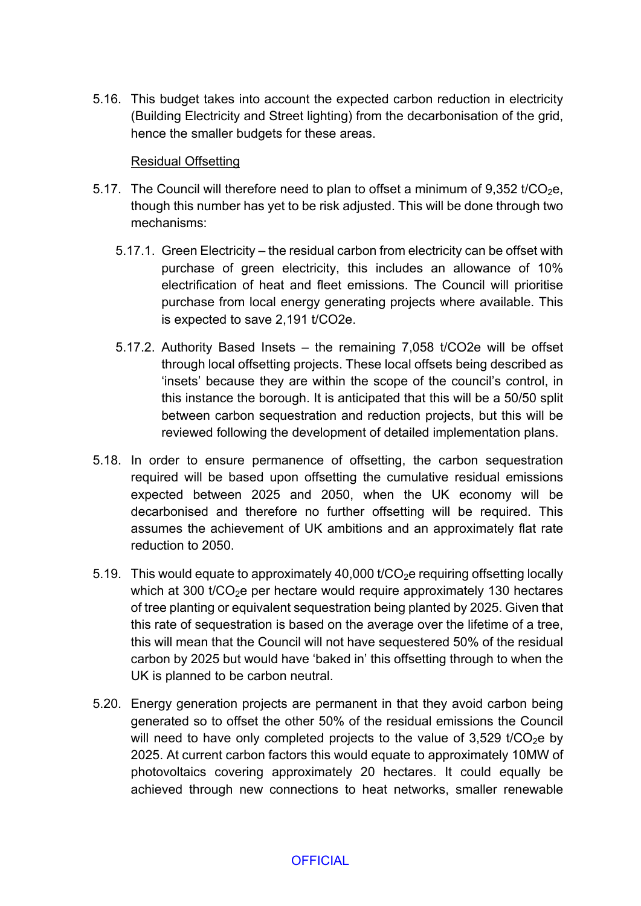5.16. This budget takes into account the expected carbon reduction in electricity (Building Electricity and Street lighting) from the decarbonisation of the grid, hence the smaller budgets for these areas.

#### Residual Offsetting

- 5.17. The Council will therefore need to plan to offset a minimum of  $9.352$  t/CO<sub>2</sub>e, though this number has yet to be risk adjusted. This will be done through two mechanisms:
	- 5.17.1. Green Electricity the residual carbon from electricity can be offset with purchase of green electricity, this includes an allowance of 10% electrification of heat and fleet emissions. The Council will prioritise purchase from local energy generating projects where available. This is expected to save 2,191 t/CO2e.
	- 5.17.2. Authority Based Insets the remaining 7,058 t/CO2e will be offset through local offsetting projects. These local offsets being described as 'insets' because they are within the scope of the council's control, in this instance the borough. It is anticipated that this will be a 50/50 split between carbon sequestration and reduction projects, but this will be reviewed following the development of detailed implementation plans.
- 5.18. In order to ensure permanence of offsetting, the carbon sequestration required will be based upon offsetting the cumulative residual emissions expected between 2025 and 2050, when the UK economy will be decarbonised and therefore no further offsetting will be required. This assumes the achievement of UK ambitions and an approximately flat rate reduction to 2050.
- 5.19. This would equate to approximately 40,000 t/ $CO<sub>2</sub>e$  requiring offsetting locally which at 300  $t$ / $CO<sub>2</sub>e$  per hectare would require approximately 130 hectares of tree planting or equivalent sequestration being planted by 2025. Given that this rate of sequestration is based on the average over the lifetime of a tree, this will mean that the Council will not have sequestered 50% of the residual carbon by 2025 but would have 'baked in' this offsetting through to when the UK is planned to be carbon neutral.
- 5.20. Energy generation projects are permanent in that they avoid carbon being generated so to offset the other 50% of the residual emissions the Council will need to have only completed projects to the value of  $3.529$  t/CO<sub>2</sub>e by 2025. At current carbon factors this would equate to approximately 10MW of photovoltaics covering approximately 20 hectares. It could equally be achieved through new connections to heat networks, smaller renewable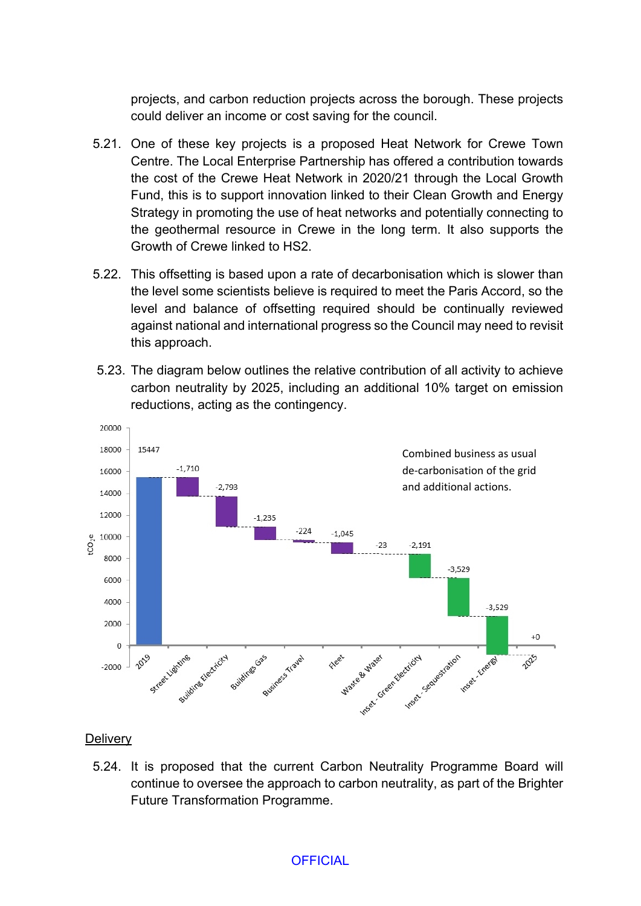projects, and carbon reduction projects across the borough. These projects could deliver an income or cost saving for the council.

- 5.21. One of these key projects is a proposed Heat Network for Crewe Town Centre. The Local Enterprise Partnership has offered a contribution towards the cost of the Crewe Heat Network in 2020/21 through the Local Growth Fund, this is to support innovation linked to their Clean Growth and Energy Strategy in promoting the use of heat networks and potentially connecting to the geothermal resource in Crewe in the long term. It also supports the Growth of Crewe linked to HS2.
- 5.22. This offsetting is based upon a rate of decarbonisation which is slower than the level some scientists believe is required to meet the Paris Accord, so the level and balance of offsetting required should be continually reviewed against national and international progress so the Council may need to revisit this approach.
- 5.23. The diagram below outlines the relative contribution of all activity to achieve carbon neutrality by 2025, including an additional 10% target on emission reductions, acting as the contingency.



**Delivery** 

5.24. It is proposed that the current Carbon Neutrality Programme Board will continue to oversee the approach to carbon neutrality, as part of the Brighter Future Transformation Programme.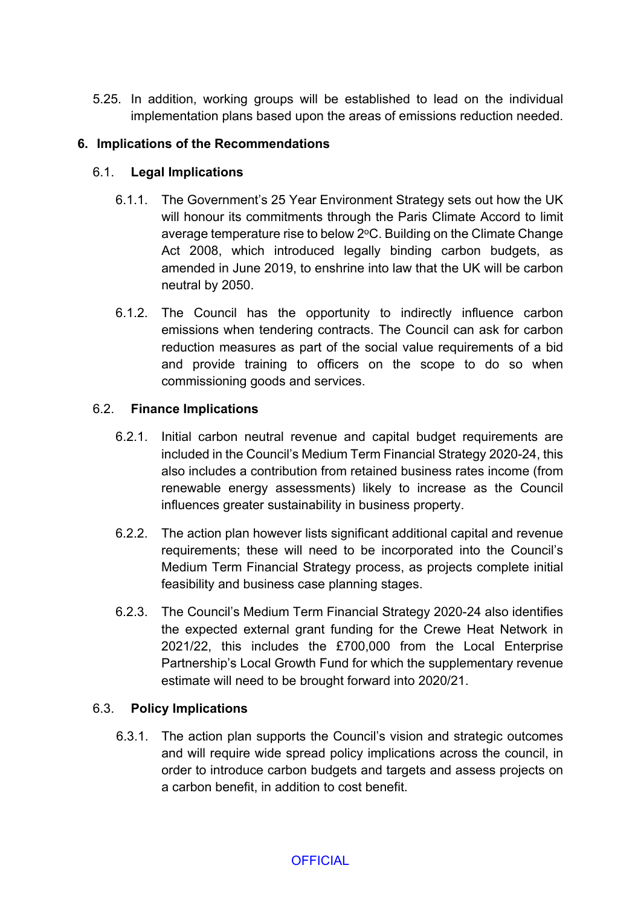5.25. In addition, working groups will be established to lead on the individual implementation plans based upon the areas of emissions reduction needed.

# **6. Implications of the Recommendations**

# 6.1. **Legal Implications**

- 6.1.1. The Government's 25 Year Environment Strategy sets out how the UK will honour its commitments through the Paris Climate Accord to limit average temperature rise to below 2°C. Building on the Climate Change Act 2008, which introduced legally binding carbon budgets, as amended in June 2019, to enshrine into law that the UK will be carbon neutral by 2050.
- 6.1.2. The Council has the opportunity to indirectly influence carbon emissions when tendering contracts. The Council can ask for carbon reduction measures as part of the social value requirements of a bid and provide training to officers on the scope to do so when commissioning goods and services.

## 6.2. **Finance Implications**

- 6.2.1. Initial carbon neutral revenue and capital budget requirements are included in the Council's Medium Term Financial Strategy 2020-24, this also includes a contribution from retained business rates income (from renewable energy assessments) likely to increase as the Council influences greater sustainability in business property.
- 6.2.2. The action plan however lists significant additional capital and revenue requirements; these will need to be incorporated into the Council's Medium Term Financial Strategy process, as projects complete initial feasibility and business case planning stages.
- 6.2.3. The Council's Medium Term Financial Strategy 2020-24 also identifies the expected external grant funding for the Crewe Heat Network in 2021/22, this includes the £700,000 from the Local Enterprise Partnership's Local Growth Fund for which the supplementary revenue estimate will need to be brought forward into 2020/21.

## 6.3. **Policy Implications**

6.3.1. The action plan supports the Council's vision and strategic outcomes and will require wide spread policy implications across the council, in order to introduce carbon budgets and targets and assess projects on a carbon benefit, in addition to cost benefit.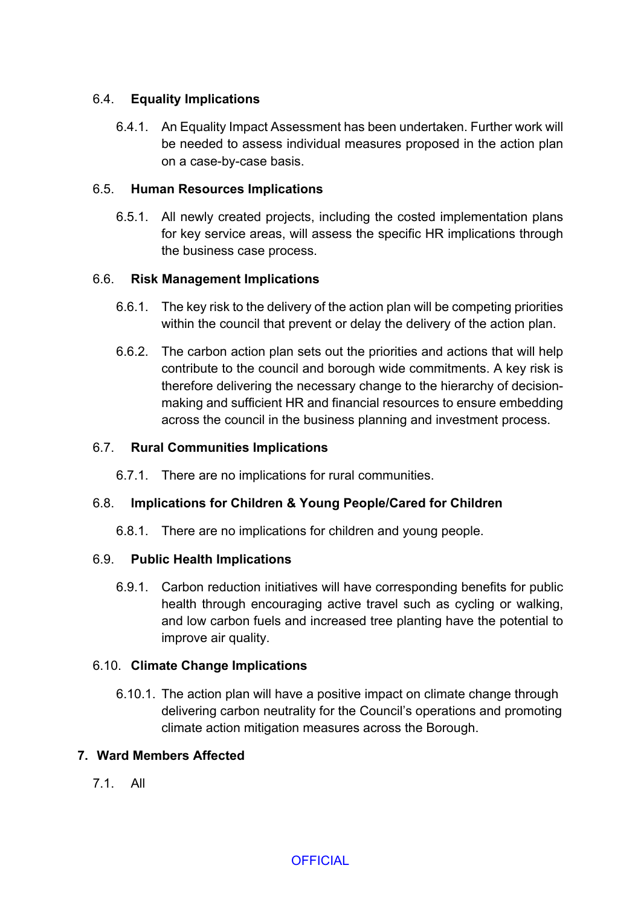# 6.4. **Equality Implications**

6.4.1. An Equality Impact Assessment has been undertaken. Further work will be needed to assess individual measures proposed in the action plan on a case-by-case basis.

## 6.5. **Human Resources Implications**

6.5.1. All newly created projects, including the costed implementation plans for key service areas, will assess the specific HR implications through the business case process.

# 6.6. **Risk Management Implications**

- 6.6.1. The key risk to the delivery of the action plan will be competing priorities within the council that prevent or delay the delivery of the action plan.
- 6.6.2. The carbon action plan sets out the priorities and actions that will help contribute to the council and borough wide commitments. A key risk is therefore delivering the necessary change to the hierarchy of decisionmaking and sufficient HR and financial resources to ensure embedding across the council in the business planning and investment process.

## 6.7. **Rural Communities Implications**

6.7.1. There are no implications for rural communities.

# 6.8. **Implications for Children & Young People/Cared for Children**

6.8.1. There are no implications for children and young people.

## 6.9. **Public Health Implications**

6.9.1. Carbon reduction initiatives will have corresponding benefits for public health through encouraging active travel such as cycling or walking, and low carbon fuels and increased tree planting have the potential to improve air quality.

## 6.10. **Climate Change Implications**

6.10.1. The action plan will have a positive impact on climate change through delivering carbon neutrality for the Council's operations and promoting climate action mitigation measures across the Borough.

## **7. Ward Members Affected**

7.1. All